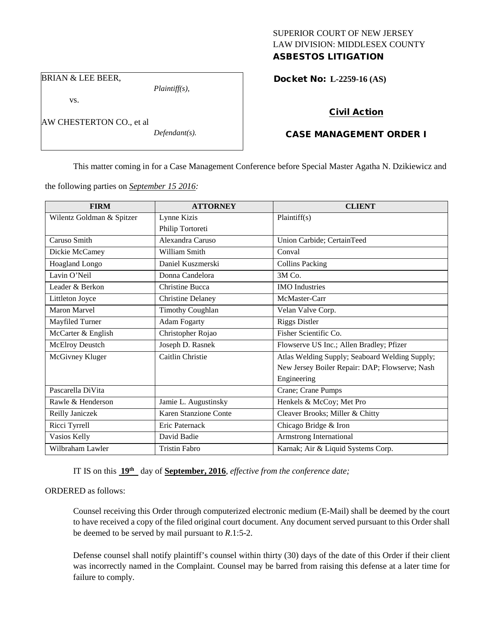# SUPERIOR COURT OF NEW JERSEY LAW DIVISION: MIDDLESEX COUNTY

# ASBESTOS LITIGATION

BRIAN & LEE BEER,

vs.

AW CHESTERTON CO., et al

*Defendant(s).*

*Plaintiff(s),*

Docket No: **L-2259-16 (AS)** 

# Civil Action

# CASE MANAGEMENT ORDER I

This matter coming in for a Case Management Conference before Special Master Agatha N. Dzikiewicz and

the following parties on *September 15 2016:*

| <b>FIRM</b>               | <b>ATTORNEY</b>          | <b>CLIENT</b>                                  |
|---------------------------|--------------------------|------------------------------------------------|
| Wilentz Goldman & Spitzer | Lynne Kizis              | Plaintiff(s)                                   |
|                           | Philip Tortoreti         |                                                |
| Caruso Smith              | Alexandra Caruso         | Union Carbide; CertainTeed                     |
| Dickie McCamey            | William Smith            | Conval                                         |
| <b>Hoagland Longo</b>     | Daniel Kuszmerski        | <b>Collins Packing</b>                         |
| Lavin O'Neil              | Donna Candelora          | 3M Co.                                         |
| Leader & Berkon           | <b>Christine Bucca</b>   | <b>IMO</b> Industries                          |
| Littleton Joyce           | <b>Christine Delaney</b> | McMaster-Carr                                  |
| Maron Marvel              | <b>Timothy Coughlan</b>  | Velan Valve Corp.                              |
| Mayfiled Turner           | <b>Adam Fogarty</b>      | <b>Riggs Distler</b>                           |
| McCarter & English        | Christopher Rojao        | Fisher Scientific Co.                          |
| McElroy Deustch           | Joseph D. Rasnek         | Flowserve US Inc.; Allen Bradley; Pfizer       |
| McGivney Kluger           | Caitlin Christie         | Atlas Welding Supply; Seaboard Welding Supply; |
|                           |                          | New Jersey Boiler Repair: DAP; Flowserve; Nash |
|                           |                          | Engineering                                    |
| Pascarella DiVita         |                          | Crane; Crane Pumps                             |
| Rawle & Henderson         | Jamie L. Augustinsky     | Henkels & McCoy; Met Pro                       |
| Reilly Janiczek           | Karen Stanzione Conte    | Cleaver Brooks; Miller & Chitty                |
| Ricci Tyrrell             | Eric Paternack           | Chicago Bridge & Iron                          |
| Vasios Kelly              | David Badie              | Armstrong International                        |
| Wilbraham Lawler          | <b>Tristin Fabro</b>     | Karnak; Air & Liquid Systems Corp.             |

IT IS on this **19th** day of **September, 2016**, *effective from the conference date;*

## ORDERED as follows:

Counsel receiving this Order through computerized electronic medium (E-Mail) shall be deemed by the court to have received a copy of the filed original court document. Any document served pursuant to this Order shall be deemed to be served by mail pursuant to *R*.1:5-2.

Defense counsel shall notify plaintiff's counsel within thirty (30) days of the date of this Order if their client was incorrectly named in the Complaint. Counsel may be barred from raising this defense at a later time for failure to comply.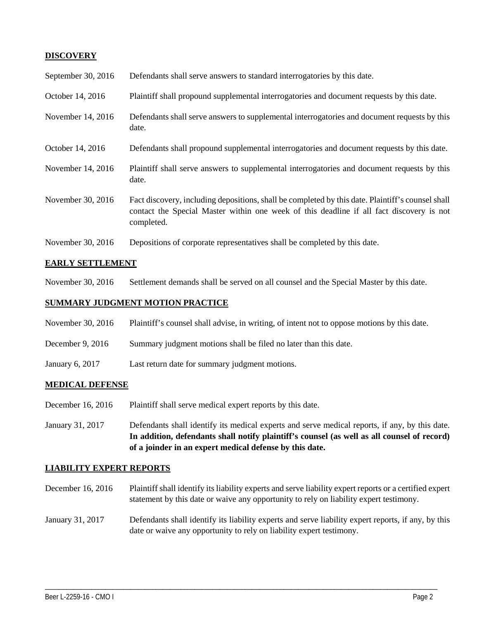# **DISCOVERY**

| September 30, 2016 | Defendants shall serve answers to standard interrogatories by this date.                                                                                                                                    |
|--------------------|-------------------------------------------------------------------------------------------------------------------------------------------------------------------------------------------------------------|
| October 14, 2016   | Plaintiff shall propound supplemental interrogatories and document requests by this date.                                                                                                                   |
| November 14, 2016  | Defendants shall serve answers to supplemental interrogatories and document requests by this<br>date.                                                                                                       |
| October 14, 2016   | Defendants shall propound supplemental interrogatories and document requests by this date.                                                                                                                  |
| November 14, 2016  | Plaintiff shall serve answers to supplemental interrogatories and document requests by this<br>date.                                                                                                        |
| November 30, 2016  | Fact discovery, including depositions, shall be completed by this date. Plaintiff's counsel shall<br>contact the Special Master within one week of this deadline if all fact discovery is not<br>completed. |
| November 30, 2016  | Depositions of corporate representatives shall be completed by this date.                                                                                                                                   |

## **EARLY SETTLEMENT**

November 30, 2016 Settlement demands shall be served on all counsel and the Special Master by this date.

## **SUMMARY JUDGMENT MOTION PRACTICE**

- November 30, 2016 Plaintiff's counsel shall advise, in writing, of intent not to oppose motions by this date.
- December 9, 2016 Summary judgment motions shall be filed no later than this date.
- January 6, 2017 Last return date for summary judgment motions.

#### **MEDICAL DEFENSE**

- December 16, 2016 Plaintiff shall serve medical expert reports by this date.
- January 31, 2017 Defendants shall identify its medical experts and serve medical reports, if any, by this date. **In addition, defendants shall notify plaintiff's counsel (as well as all counsel of record) of a joinder in an expert medical defense by this date.**

#### **LIABILITY EXPERT REPORTS**

- December 16, 2016 Plaintiff shall identify its liability experts and serve liability expert reports or a certified expert statement by this date or waive any opportunity to rely on liability expert testimony.
- January 31, 2017 Defendants shall identify its liability experts and serve liability expert reports, if any, by this date or waive any opportunity to rely on liability expert testimony.

\_\_\_\_\_\_\_\_\_\_\_\_\_\_\_\_\_\_\_\_\_\_\_\_\_\_\_\_\_\_\_\_\_\_\_\_\_\_\_\_\_\_\_\_\_\_\_\_\_\_\_\_\_\_\_\_\_\_\_\_\_\_\_\_\_\_\_\_\_\_\_\_\_\_\_\_\_\_\_\_\_\_\_\_\_\_\_\_\_\_\_\_\_\_\_\_\_\_\_\_\_\_\_\_\_\_\_\_\_\_